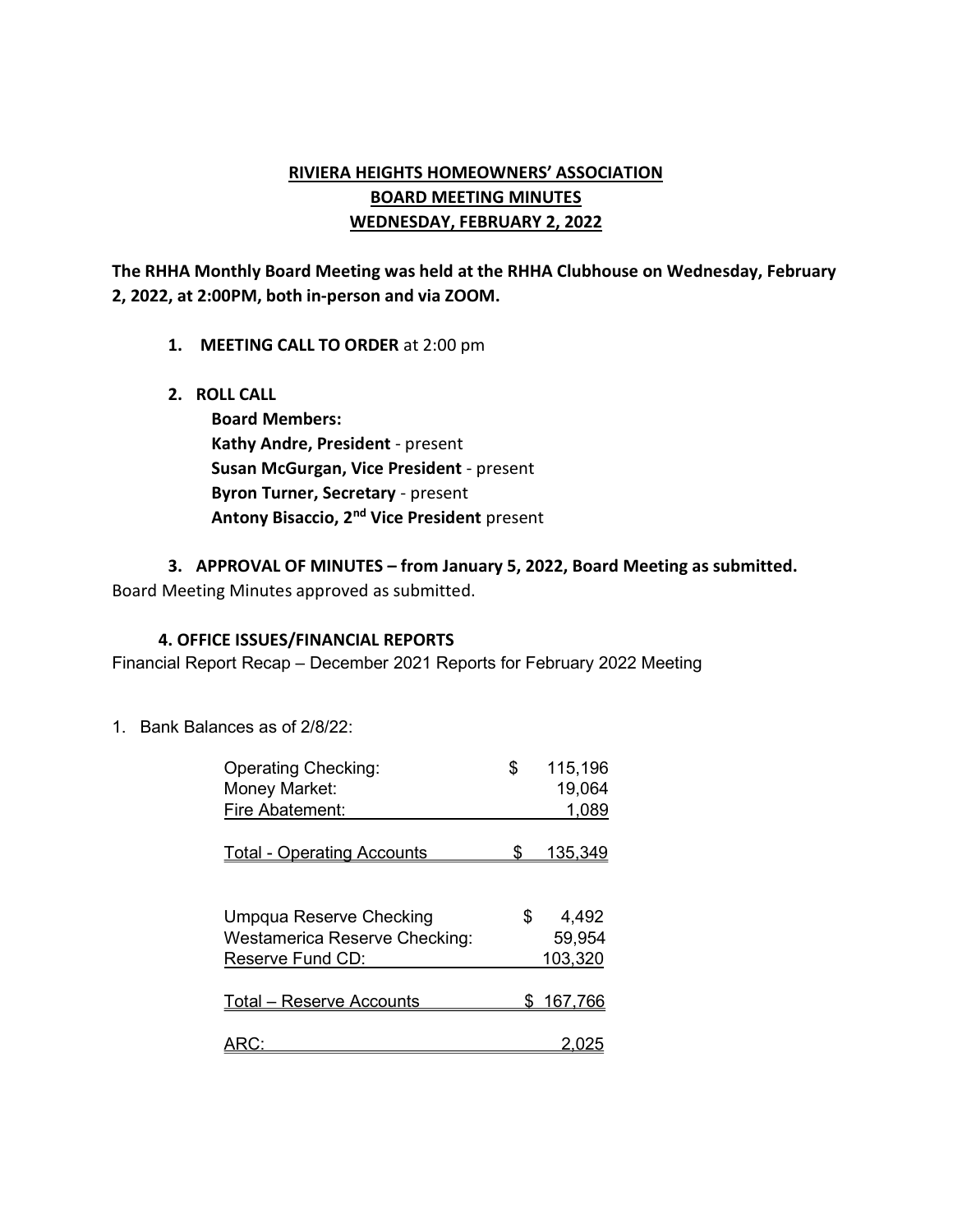# RIVIERA HEIGHTS HOMEOWNERS' ASSOCIATION BOARD MEETING MINUTES WEDNESDAY, FEBRUARY 2, 2022

The RHHA Monthly Board Meeting was held at the RHHA Clubhouse on Wednesday, February 2, 2022, at 2:00PM, both in-person and via ZOOM.

- 1. MEETING CALL TO ORDER at 2:00 pm
- 2. ROLL CALL

Board Members: Kathy Andre, President - present Susan McGurgan, Vice President - present Byron Turner, Secretary - present Antony Bisaccio, 2<sup>nd</sup> Vice President present

3. APPROVAL OF MINUTES – from January 5, 2022, Board Meeting as submitted.

Board Meeting Minutes approved as submitted.

#### 4. OFFICE ISSUES/FINANCIAL REPORTS

Financial Report Recap – December 2021 Reports for February 2022 Meeting

1. Bank Balances as of 2/8/22:

| <b>Operating Checking:</b><br>Money Market:                     | \$  | 115,196<br>19,064 |
|-----------------------------------------------------------------|-----|-------------------|
| Fire Abatement:                                                 |     | 1,089             |
| <b>Total - Operating Accounts</b>                               | \$. | <u>135,349</u>    |
| Umpqua Reserve Checking<br><b>Westamerica Reserve Checking:</b> | \$. | 4,492<br>59,954   |
| Reserve Fund CD:                                                |     | 103,320           |
| <b>Total - Reserve Accounts</b>                                 | SS. | 167,766           |
|                                                                 |     |                   |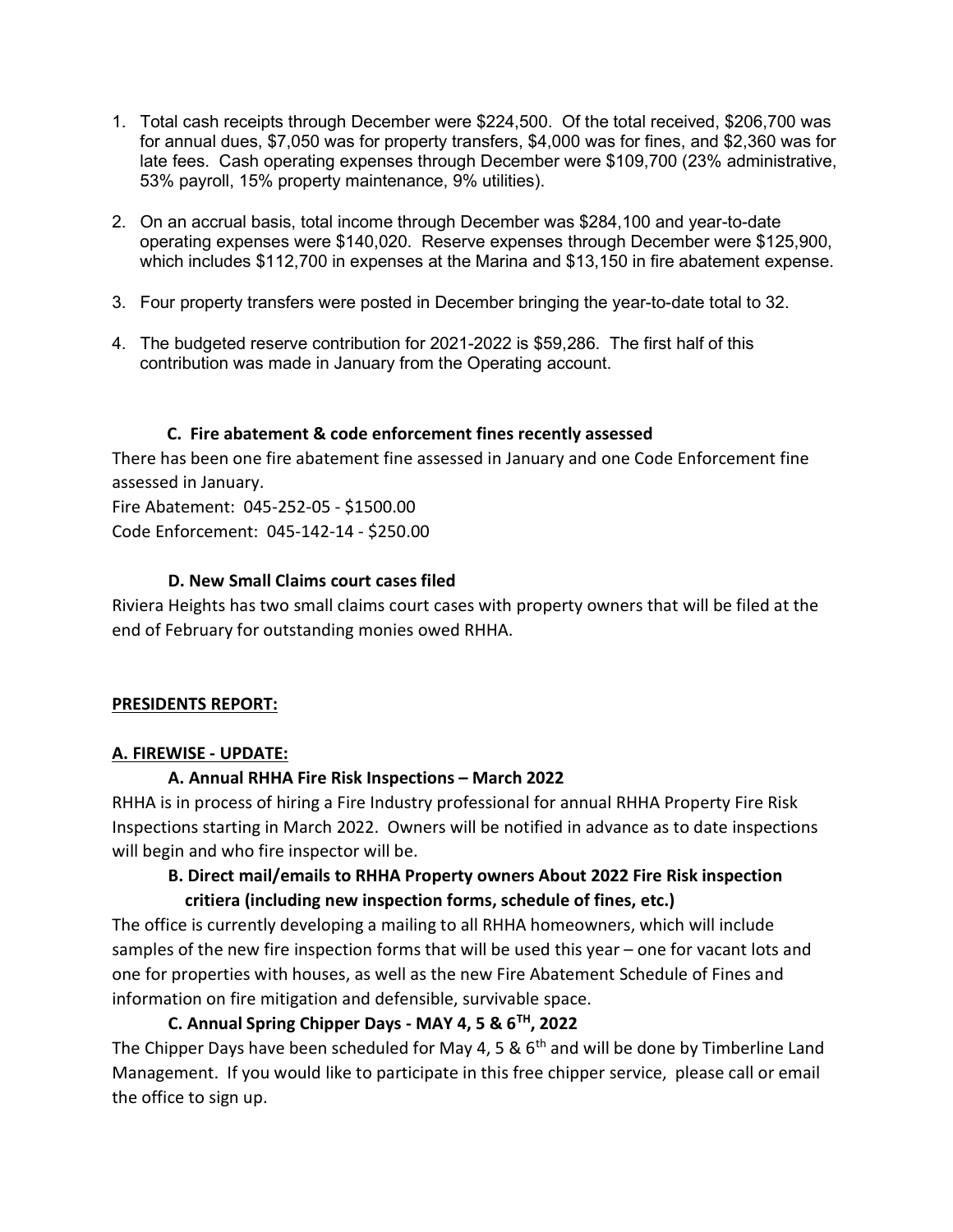- 1. Total cash receipts through December were \$224,500. Of the total received, \$206,700 was for annual dues, \$7,050 was for property transfers, \$4,000 was for fines, and \$2,360 was for late fees. Cash operating expenses through December were \$109,700 (23% administrative, 53% payroll, 15% property maintenance, 9% utilities).
- 2. On an accrual basis, total income through December was \$284,100 and year-to-date operating expenses were \$140,020. Reserve expenses through December were \$125,900, which includes \$112,700 in expenses at the Marina and \$13,150 in fire abatement expense.
- 3. Four property transfers were posted in December bringing the year-to-date total to 32.
- 4. The budgeted reserve contribution for 2021-2022 is \$59,286. The first half of this contribution was made in January from the Operating account.

### C. Fire abatement & code enforcement fines recently assessed

There has been one fire abatement fine assessed in January and one Code Enforcement fine assessed in January.

Fire Abatement: 045-252-05 - \$1500.00 Code Enforcement: 045-142-14 - \$250.00

### D. New Small Claims court cases filed

Riviera Heights has two small claims court cases with property owners that will be filed at the end of February for outstanding monies owed RHHA.

# PRESIDENTS REPORT:

# A. FIREWISE - UPDATE:

# A. Annual RHHA Fire Risk Inspections – March 2022

RHHA is in process of hiring a Fire Industry professional for annual RHHA Property Fire Risk Inspections starting in March 2022. Owners will be notified in advance as to date inspections will begin and who fire inspector will be.

# B. Direct mail/emails to RHHA Property owners About 2022 Fire Risk inspection critiera (including new inspection forms, schedule of fines, etc.)

The office is currently developing a mailing to all RHHA homeowners, which will include samples of the new fire inspection forms that will be used this year – one for vacant lots and one for properties with houses, as well as the new Fire Abatement Schedule of Fines and information on fire mitigation and defensible, survivable space.

# C. Annual Spring Chipper Days - MAY 4, 5 &  $6<sup>TH</sup>$ , 2022

The Chipper Days have been scheduled for May 4, 5 &  $6<sup>th</sup>$  and will be done by Timberline Land Management. If you would like to participate in this free chipper service, please call or email the office to sign up.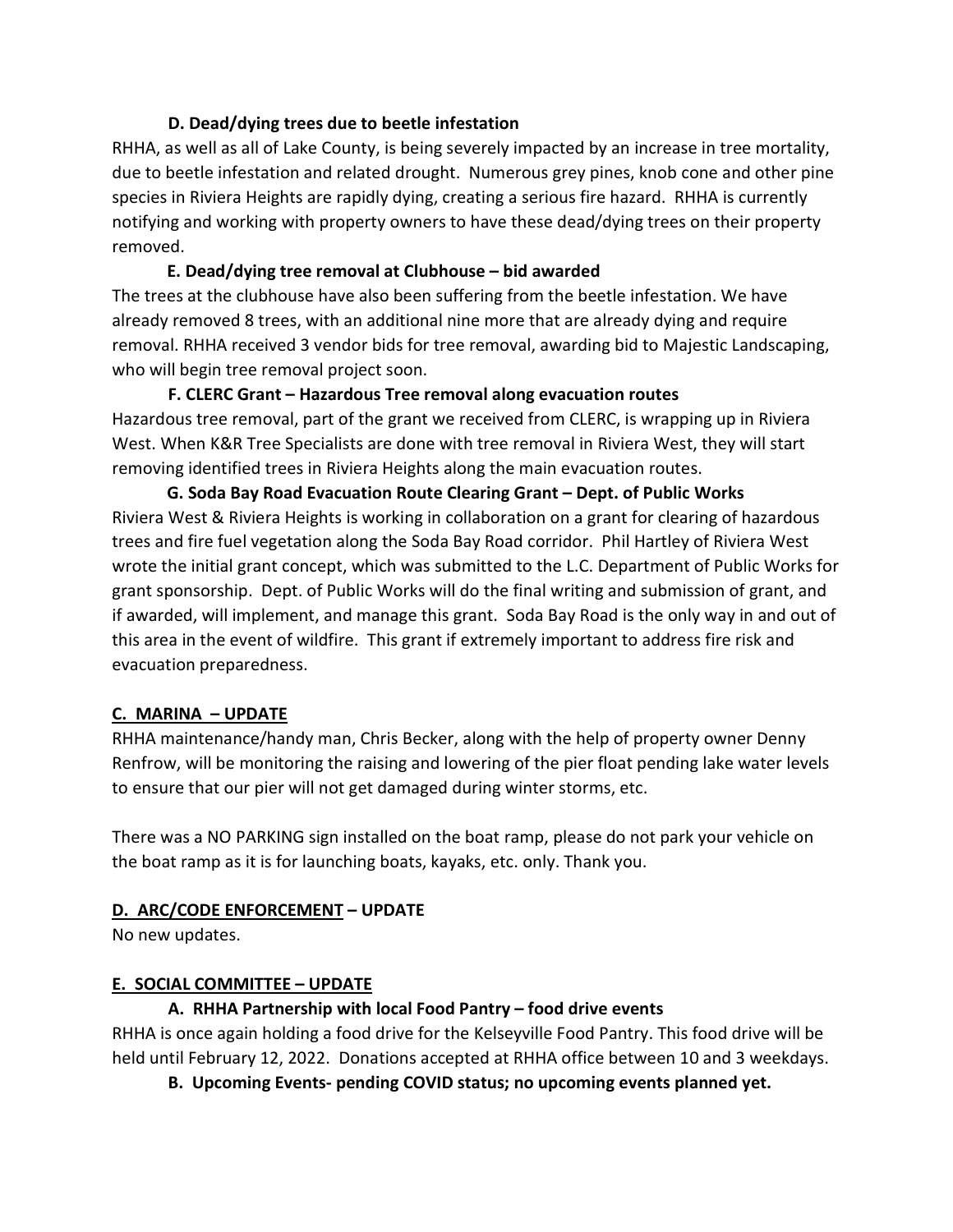# D. Dead/dying trees due to beetle infestation

RHHA, as well as all of Lake County, is being severely impacted by an increase in tree mortality, due to beetle infestation and related drought. Numerous grey pines, knob cone and other pine species in Riviera Heights are rapidly dying, creating a serious fire hazard. RHHA is currently notifying and working with property owners to have these dead/dying trees on their property removed.

# E. Dead/dying tree removal at Clubhouse – bid awarded

The trees at the clubhouse have also been suffering from the beetle infestation. We have already removed 8 trees, with an additional nine more that are already dying and require removal. RHHA received 3 vendor bids for tree removal, awarding bid to Majestic Landscaping, who will begin tree removal project soon.

# F. CLERC Grant – Hazardous Tree removal along evacuation routes Hazardous tree removal, part of the grant we received from CLERC, is wrapping up in Riviera West. When K&R Tree Specialists are done with tree removal in Riviera West, they will start removing identified trees in Riviera Heights along the main evacuation routes.

 G. Soda Bay Road Evacuation Route Clearing Grant – Dept. of Public Works Riviera West & Riviera Heights is working in collaboration on a grant for clearing of hazardous trees and fire fuel vegetation along the Soda Bay Road corridor. Phil Hartley of Riviera West wrote the initial grant concept, which was submitted to the L.C. Department of Public Works for grant sponsorship. Dept. of Public Works will do the final writing and submission of grant, and if awarded, will implement, and manage this grant. Soda Bay Road is the only way in and out of this area in the event of wildfire. This grant if extremely important to address fire risk and evacuation preparedness.

# C. MARINA – UPDATE

RHHA maintenance/handy man, Chris Becker, along with the help of property owner Denny Renfrow, will be monitoring the raising and lowering of the pier float pending lake water levels to ensure that our pier will not get damaged during winter storms, etc.

There was a NO PARKING sign installed on the boat ramp, please do not park your vehicle on the boat ramp as it is for launching boats, kayaks, etc. only. Thank you.

# D. ARC/CODE ENFORCEMENT – UPDATE

No new updates.

# E. SOCIAL COMMITTEE – UPDATE

# A. RHHA Partnership with local Food Pantry – food drive events

RHHA is once again holding a food drive for the Kelseyville Food Pantry. This food drive will be held until February 12, 2022. Donations accepted at RHHA office between 10 and 3 weekdays.

B. Upcoming Events- pending COVID status; no upcoming events planned yet.